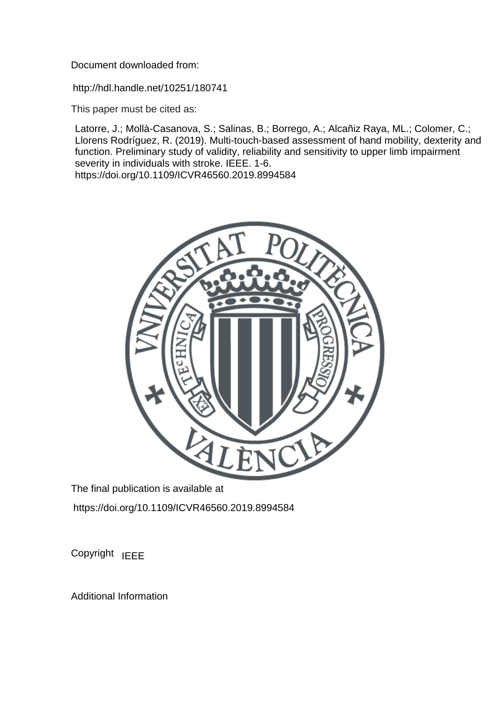Document downloaded from:

http://hdl.handle.net/10251/180741

This paper must be cited as:

Latorre, J.; Mollà-Casanova, S.; Salinas, B.; Borrego, A.; Alcañiz Raya, ML.; Colomer, C.; Llorens Rodríguez, R. (2019). Multi-touch-based assessment of hand mobility, dexterity and function. Preliminary study of validity, reliability and sensitivity to upper limb impairment severity in individuals with stroke. IEEE. 1-6. https://doi.org/10.1109/ICVR46560.2019.8994584



The final publication is available at https://doi.org/10.1109/ICVR46560.2019.8994584

Copyright IEEE

Additional Information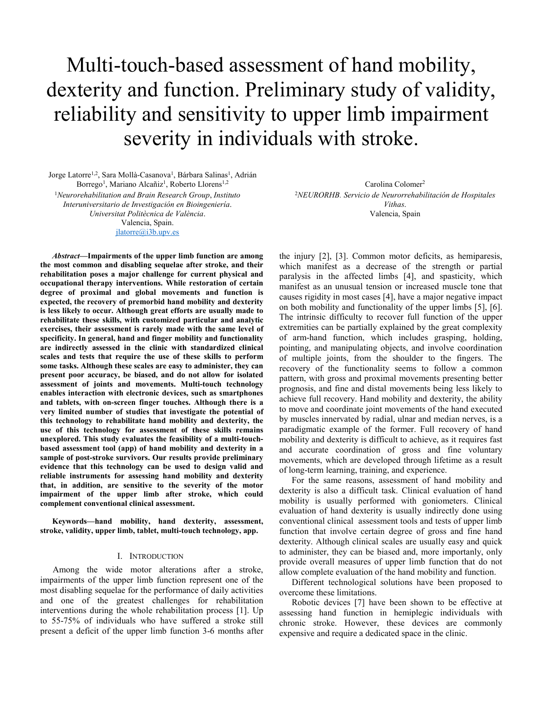# Multi-touch-based assessment of hand mobility, dexterity and function. Preliminary study of validity, reliability and sensitivity to upper limb impairment severity in individuals with stroke.

Jorge Latorre<sup>1,2</sup>, Sara Mollà-Casanova<sup>1</sup>, Bárbara Salinas<sup>1</sup>, Adrián Borrego<sup>1</sup>, Mariano Alcañiz<sup>1</sup>, Roberto Llorens<sup>1,2</sup>

<sup>1</sup>*Neurorehabilitation and Brain Research Group*, *Instituto Interuniversitario de Investigación en Bioingeniería*. *Universitat Politècnica de València*. Valencia, Spain. [jlatorre@i3b.upv.es](mailto:jlatorre@i3b.upv.es)

*Abstract***—Impairments of the upper limb function are among the most common and disabling sequelae after stroke, and their rehabilitation poses a major challenge for current physical and occupational therapy interventions. While restoration of certain degree of proximal and global movements and function is expected, the recovery of premorbid hand mobility and dexterity is less likely to occur. Although great efforts are usually made to rehabilitate these skills, with customized particular and analytic exercises, their assessment is rarely made with the same level of specificity. In general, hand and finger mobility and functionality are indirectly assessed in the clinic with standardized clinical scales and tests that require the use of these skills to perform some tasks. Although these scales are easy to administer, they can present poor accuracy, be biased, and do not allow for isolated assessment of joints and movements. Multi-touch technology enables interaction with electronic devices, such as smartphones and tablets, with on-screen finger touches. Although there is a very limited number of studies that investigate the potential of this technology to rehabilitate hand mobility and dexterity, the use of this technology for assessment of these skills remains unexplored. This study evaluates the feasibility of a multi-touchbased assessment tool (app) of hand mobility and dexterity in a sample of post-stroke survivors. Our results provide preliminary evidence that this technology can be used to design valid and reliable instruments for assessing hand mobility and dexterity that, in addition, are sensitive to the severity of the motor impairment of the upper limb after stroke, which could complement conventional clinical assessment.**

**Keywords—hand mobility, hand dexterity, assessment, stroke, validity, upper limb, tablet, multi-touch technology, app.** 

#### I. INTRODUCTION

Among the wide motor alterations after a stroke, impairments of the upper limb function represent one of the most disabling sequelae for the performance of daily activities and one of the greatest challenges for rehabilitation interventions during the whole rehabilitation process [1]. Up to 55-75% of individuals who have suffered a stroke still present a deficit of the upper limb function 3-6 months after

Carolina Colomer<sup>2</sup> <sup>2</sup>*NEURORHB. Servicio de Neurorrehabilitación de Hospitales Vithas*. Valencia, Spain

the injury [2], [3]. Common motor deficits, as hemiparesis, which manifest as a decrease of the strength or partial paralysis in the affected limbs [4], and spasticity, which manifest as an unusual tension or increased muscle tone that causes rigidity in most cases [4], have a major negative impact on both mobility and functionality of the upper limbs [5], [6]. The intrinsic difficulty to recover full function of the upper extremities can be partially explained by the great complexity of arm-hand function, which includes grasping, holding, pointing, and manipulating objects, and involve coordination of multiple joints, from the shoulder to the fingers. The recovery of the functionality seems to follow a common pattern, with gross and proximal movements presenting better prognosis, and fine and distal movements being less likely to achieve full recovery. Hand mobility and dexterity, the ability to move and coordinate joint movements of the hand executed by muscles innervated by radial, ulnar and median nerves, is a paradigmatic example of the former. Full recovery of hand mobility and dexterity is difficult to achieve, as it requires fast and accurate coordination of gross and fine voluntary movements, which are developed through lifetime as a result of long-term learning, training, and experience.

For the same reasons, assessment of hand mobility and dexterity is also a difficult task. Clinical evaluation of hand mobility is usually performed with goniometers. Clinical evaluation of hand dexterity is usually indirectly done using conventional clinical assessment tools and tests of upper limb function that involve certain degree of gross and fine hand dexterity. Although clinical scales are usually easy and quick to administer, they can be biased and, more importanly, only provide overall measures of upper limb function that do not allow complete evaluation of the hand mobility and function.

Different technological solutions have been proposed to overcome these limitations.

Robotic devices [7] have been shown to be effective at assessing hand function in hemiplegic individuals with chronic stroke. However, these devices are commonly expensive and require a dedicated space in the clinic.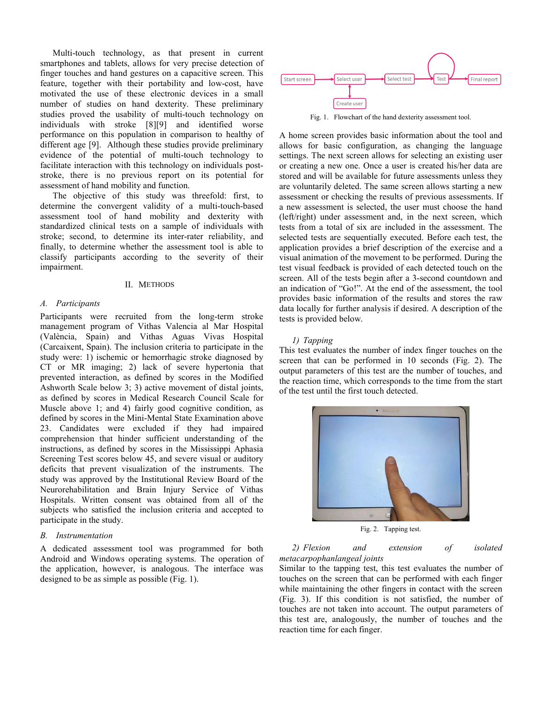Multi-touch technology, as that present in current smartphones and tablets, allows for very precise detection of finger touches and hand gestures on a capacitive screen. This feature, together with their portability and low-cost, have motivated the use of these electronic devices in a small number of studies on hand dexterity. These preliminary studies proved the usability of multi-touch technology on individuals with stroke [8][9] and identified worse performance on this population in comparison to healthy of different age [9]. Although these studies provide preliminary evidence of the potential of multi-touch technology to facilitate interaction with this technology on individuals poststroke, there is no previous report on its potential for assessment of hand mobility and function.

The objective of this study was threefold: first, to determine the convergent validity of a multi-touch-based assessment tool of hand mobility and dexterity with standardized clinical tests on a sample of individuals with stroke; second, to determine its inter-rater reliability, and finally, to determine whether the assessment tool is able to classify participants according to the severity of their impairment.

# II. METHODS

#### *A. Participants*

Participants were recruited from the long-term stroke management program of Vithas Valencia al Mar Hospital (València, Spain) and Vithas Aguas Vivas Hospital (Carcaixent, Spain). The inclusion criteria to participate in the study were: 1) ischemic or hemorrhagic stroke diagnosed by CT or MR imaging; 2) lack of severe hypertonia that prevented interaction, as defined by scores in the Modified Ashworth Scale below 3; 3) active movement of distal joints, as defined by scores in Medical Research Council Scale for Muscle above 1; and 4) fairly good cognitive condition, as defined by scores in the Mini-Mental State Examination above 23. Candidates were excluded if they had impaired comprehension that hinder sufficient understanding of the instructions, as defined by scores in the Mississippi Aphasia Screening Test scores below 45, and severe visual or auditory deficits that prevent visualization of the instruments. The study was approved by the Institutional Review Board of the Neurorehabilitation and Brain Injury Service of Vithas Hospitals. Written consent was obtained from all of the subjects who satisfied the inclusion criteria and accepted to participate in the study.

## *B. Instrumentation*

A dedicated assessment tool was programmed for both Android and Windows operating systems. The operation of the application, however, is analogous. The interface was designed to be as simple as possible (Fig. 1).



Fig. 1. Flowchart of the hand dexterity assessment tool.

A home screen provides basic information about the tool and allows for basic configuration, as changing the language settings. The next screen allows for selecting an existing user or creating a new one. Once a user is created his/her data are stored and will be available for future assessments unless they are voluntarily deleted. The same screen allows starting a new assessment or checking the results of previous assessments. If a new assessment is selected, the user must choose the hand (left/right) under assessment and, in the next screen, which tests from a total of six are included in the assessment. The selected tests are sequentially executed. Before each test, the application provides a brief description of the exercise and a visual animation of the movement to be performed. During the test visual feedback is provided of each detected touch on the screen. All of the tests begin after a 3-second countdown and an indication of "Go!". At the end of the assessment, the tool provides basic information of the results and stores the raw data locally for further analysis if desired. A description of the tests is provided below.

#### *1) Tapping*

This test evaluates the number of index finger touches on the screen that can be performed in 10 seconds (Fig. 2). The output parameters of this test are the number of touches, and the reaction time, which corresponds to the time from the start of the test until the first touch detected.



Fig. 2. Tapping test.

# *2) Flexion and extension of isolated metacarpophanlangeal joints*

Similar to the tapping test, this test evaluates the number of touches on the screen that can be performed with each finger while maintaining the other fingers in contact with the screen (Fig. 3). If this condition is not satisfied, the number of touches are not taken into account. The output parameters of this test are, analogously, the number of touches and the reaction time for each finger.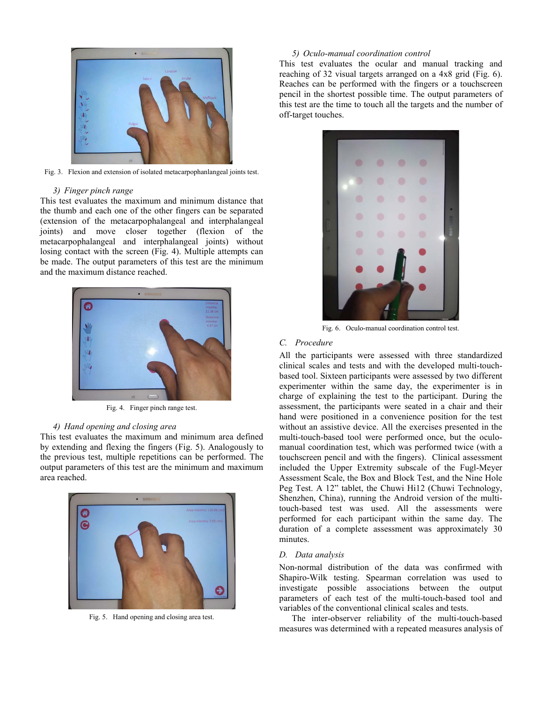

Fig. 3. Flexion and extension of isolated metacarpophanlangeal joints test.

## *3) Finger pinch range*

This test evaluates the maximum and minimum distance that the thumb and each one of the other fingers can be separated (extension of the metacarpophalangeal and interphalangeal joints) and move closer together (flexion of the metacarpophalangeal and interphalangeal joints) without losing contact with the screen (Fig. 4). Multiple attempts can be made. The output parameters of this test are the minimum and the maximum distance reached.



Fig. 4. Finger pinch range test.

# *4) Hand opening and closing area*

This test evaluates the maximum and minimum area defined by extending and flexing the fingers (Fig. 5). Analogously to the previous test, multiple repetitions can be performed. The output parameters of this test are the minimum and maximum area reached.



Fig. 5. Hand opening and closing area test.

## *5) Oculo-manual coordination control*

This test evaluates the ocular and manual tracking and reaching of 32 visual targets arranged on a 4x8 grid (Fig. 6). Reaches can be performed with the fingers or a touchscreen pencil in the shortest possible time. The output parameters of this test are the time to touch all the targets and the number of off-target touches.



Fig. 6. Oculo-manual coordination control test.

# *C. Procedure*

All the participants were assessed with three standardized clinical scales and tests and with the developed multi-touchbased tool. Sixteen participants were assessed by two different experimenter within the same day, the experimenter is in charge of explaining the test to the participant. During the assessment, the participants were seated in a chair and their hand were positioned in a convenience position for the test without an assistive device. All the exercises presented in the multi-touch-based tool were performed once, but the oculomanual coordination test, which was performed twice (with a touchscreen pencil and with the fingers). Clinical assessment included the Upper Extremity subscale of the Fugl-Meyer Assessment Scale, the Box and Block Test, and the Nine Hole Peg Test. A 12" tablet, the Chuwi Hi12 (Chuwi Technology, Shenzhen, China), running the Android version of the multitouch-based test was used. All the assessments were performed for each participant within the same day. The duration of a complete assessment was approximately 30 minutes.

# *D. Data analysis*

Non-normal distribution of the data was confirmed with Shapiro-Wilk testing. Spearman correlation was used to investigate possible associations between the output parameters of each test of the multi-touch-based tool and variables of the conventional clinical scales and tests.

The inter-observer reliability of the multi-touch-based measures was determined with a repeated measures analysis of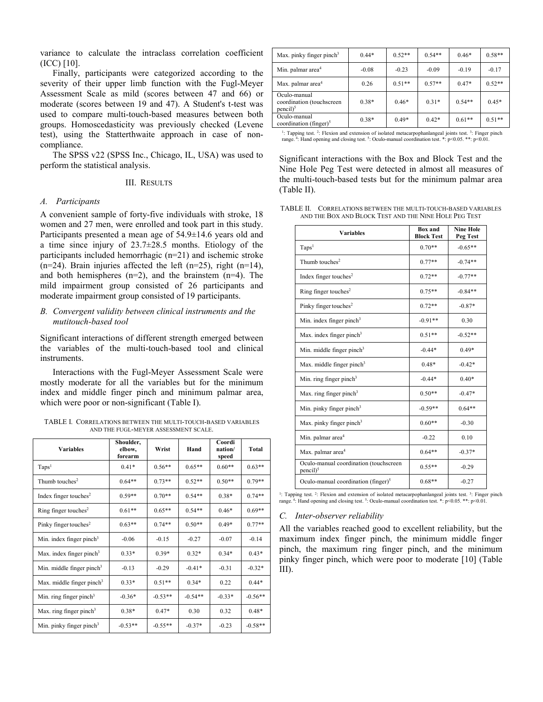variance to calculate the intraclass correlation coefficient (ICC) [10].

Finally, participants were categorized according to the severity of their upper limb function with the Fugl-Meyer Assessment Scale as mild (scores between 47 and 66) or moderate (scores between 19 and 47). A Student's t-test was used to compare multi-touch-based measures between both groups. Homoscedasticity was previously checked (Levene test), using the Statterthwaite approach in case of noncompliance.

The SPSS v22 (SPSS Inc., Chicago, IL, USA) was used to perform the statistical analysis.

## III. RESULTS

#### *A. Participants*

A convenient sample of forty-five individuals with stroke, 18 women and 27 men, were enrolled and took part in this study. Participants presented a mean age of 54.9±14.6 years old and a time since injury of 23.7±28.5 months. Etiology of the participants included hemorrhagic (n=21) and ischemic stroke  $(n=24)$ . Brain injuries affected the left  $(n=25)$ , right  $(n=14)$ , and both hemispheres  $(n=2)$ , and the brainstem  $(n=4)$ . The mild impairment group consisted of 26 participants and moderate impairment group consisted of 19 participants.

# *B. Convergent validity between clinical instruments and the mutitouch-based tool*

Significant interactions of different strength emerged between the variables of the multi-touch-based tool and clinical instruments.

Interactions with the Fugl-Meyer Assessment Scale were mostly moderate for all the variables but for the minimum index and middle finger pinch and minimum palmar area, which were poor or non-significant (Table I).

TABLE I. CORRELATIONS BETWEEN THE MULTI-TOUCH-BASED VARIABLES AND THE FUGL-MEYER ASSESSMENT SCALE.

| <b>Variables</b>                      | Shoulder,<br>elbow,<br>forearm | Wrist     | Hand      | Coordi<br>nation/<br>speed | Total     |
|---------------------------------------|--------------------------------|-----------|-----------|----------------------------|-----------|
| Taps <sup>1</sup>                     | $0.41*$                        | $0.56**$  | $0.65**$  | $0.60**$                   | $0.63**$  |
| Thumb touches <sup>2</sup>            | $0.64**$                       | $0.73**$  | $0.52**$  | $0.50**$                   | $0.79**$  |
| Index finger touches <sup>2</sup>     | $0.59**$                       | $0.70**$  | $0.54**$  | $0.38*$                    | $0.74**$  |
| Ring finger touches <sup>2</sup>      | $0.61**$                       | $0.65**$  | $0.54**$  | $0.46*$                    | $0.69**$  |
| Pinky finger touches <sup>2</sup>     | $0.63**$                       | $0.74**$  | $0.50**$  | $0.49*$                    | $0.77**$  |
| Min. index finger pinch $3$           | $-0.06$                        | $-0.15$   | $-0.27$   | $-0.07$                    | $-0.14$   |
| Max. index finger pinch <sup>3</sup>  | $0.33*$                        | $0.39*$   | $0.32*$   | $0.34*$                    | $0.43*$   |
| Min. middle finger pinch <sup>3</sup> | $-0.13$                        | $-0.29$   | $-0.41*$  | $-0.31$                    | $-0.32*$  |
| Max. middle finger pinch <sup>3</sup> | $0.33*$                        | $0.51**$  | $0.34*$   | 0.22                       | $0.44*$   |
| Min. ring finger pinch <sup>3</sup>   | $-0.36*$                       | $-0.53**$ | $-0.54**$ | $-0.33*$                   | $-0.56**$ |
| Max. ring finger pinch <sup>3</sup>   | $0.38*$                        | $0.47*$   | 0.30      | 0.32                       | $0.48*$   |
| Min. pinky finger pinch <sup>3</sup>  | $-0.53**$                      | $-0.55**$ | $-0.37*$  | $-0.23$                    | $-0.58**$ |

| Max. pinky finger pinch <sup>3</sup>                               | $0.44*$ | $0.52**$ | $0.54**$ | $0.46*$  | $0.58**$ |
|--------------------------------------------------------------------|---------|----------|----------|----------|----------|
| Min. palmar area <sup>4</sup>                                      | $-0.08$ | $-0.23$  | $-0.09$  | $-0.19$  | $-0.17$  |
| Max. palmar area <sup>4</sup>                                      | 0.26    | $0.51**$ | $0.57**$ | $0.47*$  | $0.52**$ |
| Oculo-manual<br>coordination (touchscreen<br>$pencil$ <sup>5</sup> | $0.38*$ | $0.46*$  | $0.31*$  | $0.54**$ | $0.45*$  |
| Oculo-manual<br>coordination (finger) $5$                          | $0.38*$ | $0.49*$  | $0.42*$  | $0.61**$ | $0.51**$ |
|                                                                    |         |          |          |          |          |

<sup>1</sup>: Tapping test. <sup>2</sup>: Flexion and extension of isolated metacarpophanlangeal joints test. <sup>3</sup>: Finger pinch range. <sup>4</sup>: Hand opening and closing test. <sup>5</sup>: Oculo-manual coordination test. \*: p<0.05. \*\*: p<0.01.

Significant interactions with the Box and Block Test and the Nine Hole Peg Test were detected in almost all measures of the multi-touch-based tests but for the minimum palmar area (Table II).

| TABLE II. CORRELATIONS BETWEEN THE MULTI-TOUCH-BASED VARIABLES |  |  |  |
|----------------------------------------------------------------|--|--|--|
| AND THE BOX AND BLOCK TEST AND THE NINE HOLE PEG TEST          |  |  |  |

| <b>Variables</b>                                                | <b>Box</b> and<br><b>Block Test</b> | <b>Nine Hole</b><br>Peg Test |
|-----------------------------------------------------------------|-------------------------------------|------------------------------|
| Taps <sup>1</sup>                                               | $0.70**$                            | $-0.65**$                    |
| Thumb touches <sup>2</sup>                                      | $0.77**$                            | $-0.74**$                    |
| Index finger touches <sup>2</sup>                               | $0.72**$                            | $-0.77**$                    |
| Ring finger touches <sup>2</sup>                                | $0.75**$                            | $-0.84**$                    |
| Pinky finger touches <sup>2</sup>                               | $0.72**$                            | $-0.87*$                     |
| Min. index finger pinch <sup>3</sup>                            | $-0.91**$                           | 0.30                         |
| Max. index finger pinch <sup>3</sup>                            | $0.51**$                            | $-0.52**$                    |
| Min. middle finger pinch <sup>3</sup>                           | $-0.44*$                            | $0.49*$                      |
| Max. middle finger pinch <sup>3</sup>                           | $0.48*$                             | $-0.42*$                     |
| Min. ring finger pinch <sup>3</sup>                             | $-0.44*$                            | $0.40*$                      |
| Max. ring finger pinch <sup>3</sup>                             | $0.50**$                            | $-0.47*$                     |
| Min. pinky finger pinch <sup>3</sup>                            | $-0.59**$                           | $0.64**$                     |
| Max. pinky finger pinch <sup>3</sup>                            | $0.60**$                            | $-0.30$                      |
| Min. palmar area <sup>4</sup>                                   | $-0.22$                             | 0.10                         |
| Max. palmar area <sup>4</sup>                                   | $0.64**$                            | $-0.37*$                     |
| Oculo-manual coordination (touchscreen<br>$pencil$ <sup>5</sup> | $0.55**$                            | $-0.29$                      |
| Oculo-manual coordination (finger) <sup>5</sup>                 | $0.68**$                            | $-0.27$                      |

<sup>1</sup>: Tapping test. <sup>2</sup>: Flexion and extension of isolated metacarpophanlangeal joints test. <sup>3</sup>: Finger pinch range.<sup>4</sup>: Hand opening and closing test. <sup>5</sup>: Oculo-manual coordination test. \*: p<0.05. \*\*: p<0.01

## *C. Inter-observer reliability*

All the variables reached good to excellent reliability, but the maximum index finger pinch, the minimum middle finger pinch, the maximum ring finger pinch, and the minimum pinky finger pinch, which were poor to moderate [10] (Table III).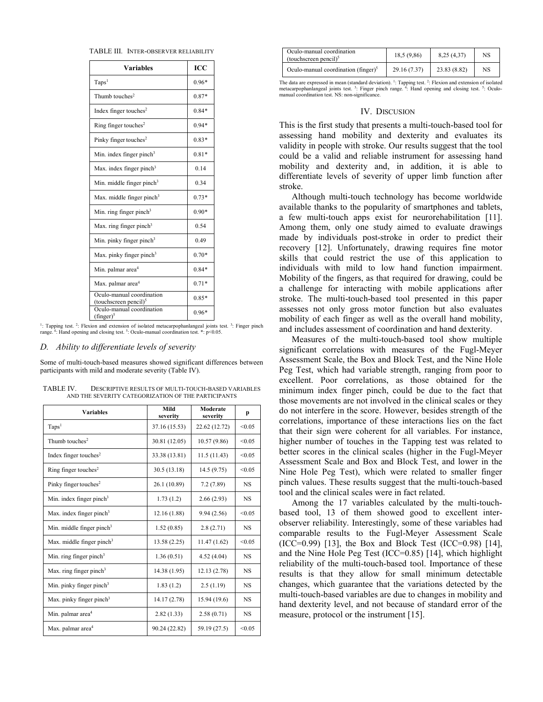| <b>Variables</b>                                               | ICC     |
|----------------------------------------------------------------|---------|
| Taps <sup>1</sup>                                              | $0.96*$ |
| Thumb touches <sup>2</sup>                                     | $0.87*$ |
| Index finger touches <sup>2</sup>                              | $0.84*$ |
| Ring finger touches <sup>2</sup>                               | $0.94*$ |
| Pinky finger touches <sup>2</sup>                              | $0.83*$ |
| Min. index finger pinch $3$                                    | $0.81*$ |
| Max. index finger pinch <sup>3</sup>                           | 0.14    |
| Min. middle finger pinch <sup>3</sup>                          | 0.34    |
| Max. middle finger pinch <sup>3</sup>                          | $0.73*$ |
| Min. ring finger pinch <sup>3</sup>                            | $0.90*$ |
| Max. ring finger pinch <sup>3</sup>                            | 0.54    |
| Min. pinky finger pinch <sup>3</sup>                           | 0.49    |
| Max. pinky finger pinch <sup>3</sup>                           | $0.70*$ |
| Min. palmar area <sup>4</sup>                                  | $0.84*$ |
| Max. palmar area <sup>4</sup>                                  | $0.71*$ |
| Oculo-manual coordination<br>(touchscreen pencil) <sup>5</sup> | $0.85*$ |
| Oculo-manual coordination<br>$(finger)^5$                      | $0.96*$ |

<sup>1</sup>: Tapping test. <sup>2</sup>: Flexion and extension of isolated metacarpophanlangeal joints test. <sup>3</sup>: Finger pinch range.<sup>4</sup>: Hand opening and closing test. <sup>5</sup>: Oculo-manual coordination test. \*: p<0.05.

### *D. Ability to differentiate levels of severity*

Some of multi-touch-based measures showed significant differences between participants with mild and moderate severity (Table IV).

| <b>Variables</b>                      | Mild<br>severity | Moderate<br>severity | p         |
|---------------------------------------|------------------|----------------------|-----------|
| Taps <sup>1</sup>                     | 37.16 (15.53)    | 22.62 (12.72)        | < 0.05    |
| Thumb touches <sup>2</sup>            | 30.81 (12.05)    | 10.57(9.86)          | < 0.05    |
| Index finger touches <sup>2</sup>     | 33.38 (13.81)    | 11.5(11.43)          | < 0.05    |
| Ring finger touches <sup>2</sup>      | 30.5(13.18)      | 14.5(9.75)           | < 0.05    |
| Pinky finger touches <sup>2</sup>     | 26.1 (10.89)     | 7.2(7.89)            | <b>NS</b> |
| Min. index finger pinch $3$           | 1.73(1.2)        | 2.66(2.93)           | <b>NS</b> |
| Max. index finger pinch <sup>3</sup>  | 12.16 (1.88)     | 9.94(2.56)           | < 0.05    |
| Min. middle finger pinch <sup>3</sup> | 1.52(0.85)       | 2.8(2.71)            | <b>NS</b> |
| Max. middle finger pinch <sup>3</sup> | 13.58(2.25)      | 11.47 (1.62)         | < 0.05    |
| Min. ring finger pinch <sup>3</sup>   | 1.36(0.51)       | 4.52(4.04)           | <b>NS</b> |
| Max. ring finger pinch <sup>3</sup>   | 14.38 (1.95)     | 12.13 (2.78)         | <b>NS</b> |
| Min. pinky finger pinch $3$           | 1.83(1.2)        | 2.5(1.19)            | <b>NS</b> |
| Max. pinky finger pinch <sup>3</sup>  | 14.17 (2.78)     | 15.94 (19.6)         | <b>NS</b> |
| Min. palmar area <sup>4</sup>         | 2.82(1.33)       | 2.58(0.71)           | <b>NS</b> |
| Max. palmar area <sup>4</sup>         | 90.24 (22.82)    | 59.19 (27.5)         | < 0.05    |

TABLE IV. DESCRIPTIVE RESULTS OF MULTI-TOUCH-BASED VARIABLES AND THE SEVERITY CATEGORIZATION OF THE PARTICIPANTS

| Oculo-manual coordination<br>(touchscreen pencil) $5$ | 18,5 (9.86)  | 8,25(4,37)   | NS |
|-------------------------------------------------------|--------------|--------------|----|
| Oculo-manual coordination (finger) $5$                | 29.16 (7.37) | 23.83 (8.82) | NS |

The data are expressed in mean (standard deviation). <sup>1</sup>: Tapping test. <sup>2</sup>: Flexion and extension of isolated metacarpophanlangeal joints test. <sup>3</sup>: Finger pinch range. <sup>4</sup>: Hand opening and closing test. <sup>5</sup>: Oculomanual coordination test. NS: non-significance.

#### IV. DISCUSION

This is the first study that presents a multi-touch-based tool for assessing hand mobility and dexterity and evaluates its validity in people with stroke. Our results suggest that the tool could be a valid and reliable instrument for assessing hand mobility and dexterity and, in addition, it is able to differentiate levels of severity of upper limb function after stroke.

Although multi-touch technology has become worldwide available thanks to the popularity of smartphones and tablets, a few multi-touch apps exist for neurorehabilitation [11]. Among them, only one study aimed to evaluate drawings made by individuals post-stroke in order to predict their recovery [12]. Unfortunately, drawing requires fine motor skills that could restrict the use of this application to individuals with mild to low hand function impairment. Mobility of the fingers, as that required for drawing, could be a challenge for interacting with mobile applications after stroke. The multi-touch-based tool presented in this paper assesses not only gross motor function but also evaluates mobility of each finger as well as the overall hand mobility, and includes assessment of coordination and hand dexterity.

Measures of the multi-touch-based tool show multiple significant correlations with measures of the Fugl-Meyer Assessment Scale, the Box and Block Test, and the Nine Hole Peg Test, which had variable strength, ranging from poor to excellent. Poor correlations, as those obtained for the minimum index finger pinch, could be due to the fact that those movements are not involved in the clinical scales or they do not interfere in the score. However, besides strength of the correlations, importance of these interactions lies on the fact that their sign were coherent for all variables. For instance, higher number of touches in the Tapping test was related to better scores in the clinical scales (higher in the Fugl-Meyer Assessment Scale and Box and Block Test, and lower in the Nine Hole Peg Test), which were related to smaller finger pinch values. These results suggest that the multi-touch-based tool and the clinical scales were in fact related.

Among the 17 variables calculated by the multi-touchbased tool, 13 of them showed good to excellent interobserver reliability. Interestingly, some of these variables had comparable results to the Fugl-Meyer Assessment Scale (ICC=0.99) [13], the Box and Block Test (ICC=0.98) [14], and the Nine Hole Peg Test (ICC=0.85) [14], which highlight reliability of the multi-touch-based tool. Importance of these results is that they allow for small minimum detectable changes, which guarantee that the variations detected by the multi-touch-based variables are due to changes in mobility and hand dexterity level, and not because of standard error of the measure, protocol or the instrument [15].